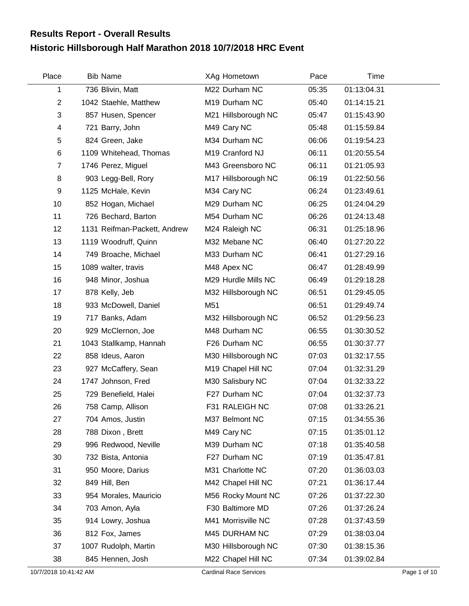## **Historic Hillsborough Half Marathon 2018 10/7/2018 HRC Event Results Report - Overall Results**

| Place          | <b>Bib Name</b>              | XAg Hometown        | Pace  | Time        |  |
|----------------|------------------------------|---------------------|-------|-------------|--|
| 1              | 736 Blivin, Matt             | M22 Durham NC       | 05:35 | 01:13:04.31 |  |
| $\overline{c}$ | 1042 Staehle, Matthew        | M19 Durham NC       | 05:40 | 01:14:15.21 |  |
| $\sqrt{3}$     | 857 Husen, Spencer           | M21 Hillsborough NC | 05:47 | 01:15:43.90 |  |
| 4              | 721 Barry, John              | M49 Cary NC         | 05:48 | 01:15:59.84 |  |
| 5              | 824 Green, Jake              | M34 Durham NC       | 06:06 | 01:19:54.23 |  |
| 6              | 1109 Whitehead, Thomas       | M19 Cranford NJ     | 06:11 | 01:20:55.54 |  |
| 7              | 1746 Perez, Miguel           | M43 Greensboro NC   | 06:11 | 01:21:05.93 |  |
| 8              | 903 Legg-Bell, Rory          | M17 Hillsborough NC | 06:19 | 01:22:50.56 |  |
| 9              | 1125 McHale, Kevin           | M34 Cary NC         | 06:24 | 01:23:49.61 |  |
| 10             | 852 Hogan, Michael           | M29 Durham NC       | 06:25 | 01:24:04.29 |  |
| 11             | 726 Bechard, Barton          | M54 Durham NC       | 06:26 | 01:24:13.48 |  |
| 12             | 1131 Reifman-Packett, Andrew | M24 Raleigh NC      | 06:31 | 01:25:18.96 |  |
| 13             | 1119 Woodruff, Quinn         | M32 Mebane NC       | 06:40 | 01:27:20.22 |  |
| 14             | 749 Broache, Michael         | M33 Durham NC       | 06:41 | 01:27:29.16 |  |
| 15             | 1089 walter, travis          | M48 Apex NC         | 06:47 | 01:28:49.99 |  |
| 16             | 948 Minor, Joshua            | M29 Hurdle Mills NC | 06:49 | 01:29:18.28 |  |
| 17             | 878 Kelly, Jeb               | M32 Hillsborough NC | 06:51 | 01:29:45.05 |  |
| 18             | 933 McDowell, Daniel         | M51                 | 06:51 | 01:29:49.74 |  |
| 19             | 717 Banks, Adam              | M32 Hillsborough NC | 06:52 | 01:29:56.23 |  |
| 20             | 929 McClernon, Joe           | M48 Durham NC       | 06:55 | 01:30:30.52 |  |
| 21             | 1043 Stallkamp, Hannah       | F26 Durham NC       | 06:55 | 01:30:37.77 |  |
| 22             | 858 Ideus, Aaron             | M30 Hillsborough NC | 07:03 | 01:32:17.55 |  |
| 23             | 927 McCaffery, Sean          | M19 Chapel Hill NC  | 07:04 | 01:32:31.29 |  |
| 24             | 1747 Johnson, Fred           | M30 Salisbury NC    | 07:04 | 01:32:33.22 |  |
| 25             | 729 Benefield, Halei         | F27 Durham NC       | 07:04 | 01:32:37.73 |  |
| 26             | 758 Camp, Allison            | F31 RALEIGH NC      | 07:08 | 01:33:26.21 |  |
| 27             | 704 Amos, Justin             | M37 Belmont NC      | 07:15 | 01:34:55.36 |  |
| 28             | 788 Dixon, Brett             | M49 Cary NC         | 07:15 | 01:35:01.12 |  |
| 29             | 996 Redwood, Neville         | M39 Durham NC       | 07:18 | 01:35:40.58 |  |
| 30             | 732 Bista, Antonia           | F27 Durham NC       | 07:19 | 01:35:47.81 |  |
| 31             | 950 Moore, Darius            | M31 Charlotte NC    | 07:20 | 01:36:03.03 |  |
| 32             | 849 Hill, Ben                | M42 Chapel Hill NC  | 07:21 | 01:36:17.44 |  |
| 33             | 954 Morales, Mauricio        | M56 Rocky Mount NC  | 07:26 | 01:37:22.30 |  |
| 34             | 703 Amon, Ayla               | F30 Baltimore MD    | 07:26 | 01:37:26.24 |  |
| 35             | 914 Lowry, Joshua            | M41 Morrisville NC  | 07:28 | 01:37:43.59 |  |
| 36             | 812 Fox, James               | M45 DURHAM NC       | 07:29 | 01:38:03.04 |  |
| 37             | 1007 Rudolph, Martin         | M30 Hillsborough NC | 07:30 | 01:38:15.36 |  |
| 38             | 845 Hennen, Josh             | M22 Chapel Hill NC  | 07:34 | 01:39:02.84 |  |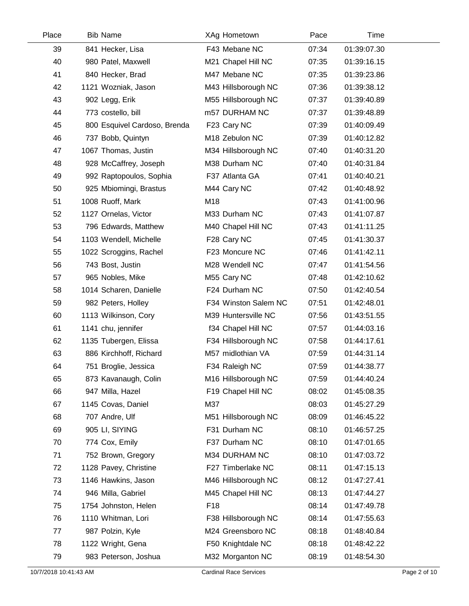| Place | <b>Bib Name</b>              | XAg Hometown         | Pace  | Time        |  |
|-------|------------------------------|----------------------|-------|-------------|--|
| 39    | 841 Hecker, Lisa             | F43 Mebane NC        | 07:34 | 01:39:07.30 |  |
| 40    | 980 Patel, Maxwell           | M21 Chapel Hill NC   | 07:35 | 01:39:16.15 |  |
| 41    | 840 Hecker, Brad             | M47 Mebane NC        | 07:35 | 01:39:23.86 |  |
| 42    | 1121 Wozniak, Jason          | M43 Hillsborough NC  | 07:36 | 01:39:38.12 |  |
| 43    | 902 Legg, Erik               | M55 Hillsborough NC  | 07:37 | 01:39:40.89 |  |
| 44    | 773 costello, bill           | m57 DURHAM NC        | 07:37 | 01:39:48.89 |  |
| 45    | 800 Esquivel Cardoso, Brenda | F23 Cary NC          | 07:39 | 01:40:09.49 |  |
| 46    | 737 Bobb, Quintyn            | M18 Zebulon NC       | 07:39 | 01:40:12.82 |  |
| 47    | 1067 Thomas, Justin          | M34 Hillsborough NC  | 07:40 | 01:40:31.20 |  |
| 48    | 928 McCaffrey, Joseph        | M38 Durham NC        | 07:40 | 01:40:31.84 |  |
| 49    | 992 Raptopoulos, Sophia      | F37 Atlanta GA       | 07:41 | 01:40:40.21 |  |
| 50    | 925 Mbiomingi, Brastus       | M44 Cary NC          | 07:42 | 01:40:48.92 |  |
| 51    | 1008 Ruoff, Mark             | M18                  | 07:43 | 01:41:00.96 |  |
| 52    | 1127 Ornelas, Victor         | M33 Durham NC        | 07:43 | 01:41:07.87 |  |
| 53    | 796 Edwards, Matthew         | M40 Chapel Hill NC   | 07:43 | 01:41:11.25 |  |
| 54    | 1103 Wendell, Michelle       | F28 Cary NC          | 07:45 | 01:41:30.37 |  |
| 55    | 1022 Scroggins, Rachel       | F23 Moncure NC       | 07:46 | 01:41:42.11 |  |
| 56    | 743 Bost, Justin             | M28 Wendell NC       | 07:47 | 01:41:54.56 |  |
| 57    | 965 Nobles, Mike             | M55 Cary NC          | 07:48 | 01:42:10.62 |  |
| 58    | 1014 Scharen, Danielle       | F24 Durham NC        | 07:50 | 01:42:40.54 |  |
| 59    | 982 Peters, Holley           | F34 Winston Salem NC | 07:51 | 01:42:48.01 |  |
| 60    | 1113 Wilkinson, Cory         | M39 Huntersville NC  | 07:56 | 01:43:51.55 |  |
| 61    | 1141 chu, jennifer           | f34 Chapel Hill NC   | 07:57 | 01:44:03.16 |  |
| 62    | 1135 Tubergen, Elissa        | F34 Hillsborough NC  | 07:58 | 01:44:17.61 |  |
| 63    | 886 Kirchhoff, Richard       | M57 midlothian VA    | 07:59 | 01:44:31.14 |  |
| 64    | 751 Broglie, Jessica         | F34 Raleigh NC       | 07:59 | 01:44:38.77 |  |
| 65    | 873 Kavanaugh, Colin         | M16 Hillsborough NC  | 07:59 | 01:44:40.24 |  |
| 66    | 947 Milla, Hazel             | F19 Chapel Hill NC   | 08:02 | 01:45:08.35 |  |
| 67    | 1145 Covas, Daniel           | M37                  | 08:03 | 01:45:27.29 |  |
| 68    | 707 Andre, Ulf               | M51 Hillsborough NC  | 08:09 | 01:46:45.22 |  |
| 69    | 905 LI, SIYING               | F31 Durham NC        | 08:10 | 01:46:57.25 |  |
| 70    | 774 Cox, Emily               | F37 Durham NC        | 08:10 | 01:47:01.65 |  |
| 71    | 752 Brown, Gregory           | M34 DURHAM NC        | 08:10 | 01:47:03.72 |  |
| 72    | 1128 Pavey, Christine        | F27 Timberlake NC    | 08:11 | 01:47:15.13 |  |
| 73    | 1146 Hawkins, Jason          | M46 Hillsborough NC  | 08:12 | 01:47:27.41 |  |
| 74    | 946 Milla, Gabriel           | M45 Chapel Hill NC   | 08:13 | 01:47:44.27 |  |
| 75    | 1754 Johnston, Helen         | F <sub>18</sub>      | 08:14 | 01:47:49.78 |  |
| 76    | 1110 Whitman, Lori           | F38 Hillsborough NC  | 08:14 | 01:47:55.63 |  |
| 77    | 987 Polzin, Kyle             | M24 Greensboro NC    | 08:18 | 01:48:40.84 |  |
| 78    | 1122 Wright, Gena            | F50 Knightdale NC    | 08:18 | 01:48:42.22 |  |
| 79    | 983 Peterson, Joshua         | M32 Morganton NC     | 08:19 | 01:48:54.30 |  |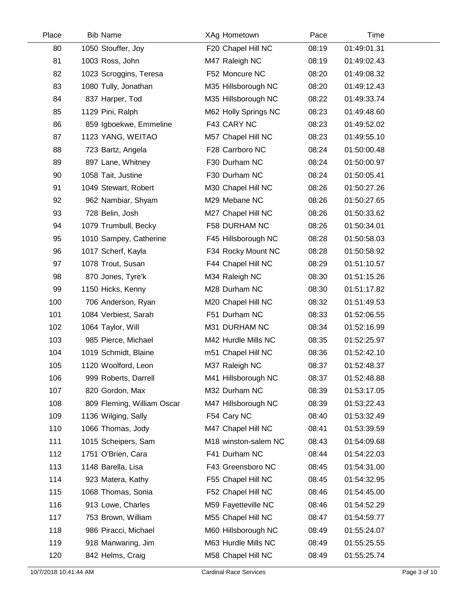| Place | <b>Bib Name</b>            | XAg Hometown         | Pace  | Time        |  |
|-------|----------------------------|----------------------|-------|-------------|--|
| 80    | 1050 Stouffer, Joy         | F20 Chapel Hill NC   | 08:19 | 01:49:01.31 |  |
| 81    | 1003 Ross, John            | M47 Raleigh NC       | 08:19 | 01:49:02.43 |  |
| 82    | 1023 Scroggins, Teresa     | F52 Moncure NC       | 08:20 | 01:49:08.32 |  |
| 83    | 1080 Tully, Jonathan       | M35 Hillsborough NC  | 08:20 | 01:49:12.43 |  |
| 84    | 837 Harper, Tod            | M35 Hillsborough NC  | 08:22 | 01:49:33.74 |  |
| 85    | 1129 Pini, Ralph           | M62 Holly Springs NC | 08:23 | 01:49:48.60 |  |
| 86    | 859 Igboekwe, Emmeline     | F43 CARY NC          | 08:23 | 01:49:52.02 |  |
| 87    | 1123 YANG, WEITAO          | M57 Chapel Hill NC   | 08:23 | 01:49:55.10 |  |
| 88    | 723 Bartz, Angela          | F28 Carrboro NC      | 08:24 | 01:50:00.48 |  |
| 89    | 897 Lane, Whitney          | F30 Durham NC        | 08:24 | 01:50:00.97 |  |
| 90    | 1058 Tait, Justine         | F30 Durham NC        | 08:24 | 01:50:05.41 |  |
| 91    | 1049 Stewart, Robert       | M30 Chapel Hill NC   | 08:26 | 01:50:27.26 |  |
| 92    | 962 Nambiar, Shyam         | M29 Mebane NC        | 08:26 | 01:50:27.65 |  |
| 93    | 728 Belin, Josh            | M27 Chapel Hill NC   | 08:26 | 01:50:33.62 |  |
| 94    | 1079 Trumbull, Becky       | F58 DURHAM NC        | 08:26 | 01:50:34.01 |  |
| 95    | 1010 Sampey, Catherine     | F45 Hillsborough NC  | 08:28 | 01:50:58.03 |  |
| 96    | 1017 Scherf, Kayla         | F34 Rocky Mount NC   | 08:28 | 01:50:58.92 |  |
| 97    | 1078 Trout, Susan          | F44 Chapel Hill NC   | 08:29 | 01:51:10.57 |  |
| 98    | 870 Jones, Tyre'k          | M34 Raleigh NC       | 08:30 | 01:51:15.26 |  |
| 99    | 1150 Hicks, Kenny          | M28 Durham NC        | 08:30 | 01:51:17.82 |  |
| 100   | 706 Anderson, Ryan         | M20 Chapel Hill NC   | 08:32 | 01:51:49.53 |  |
| 101   | 1084 Verbiest, Sarah       | F51 Durham NC        | 08:33 | 01:52:06.55 |  |
| 102   | 1064 Taylor, Will          | M31 DURHAM NC        | 08:34 | 01:52:16.99 |  |
| 103   | 985 Pierce, Michael        | M42 Hurdle Mills NC  | 08:35 | 01:52:25.97 |  |
| 104   | 1019 Schmidt, Blaine       | m51 Chapel Hill NC   | 08:36 | 01:52:42.10 |  |
| 105   | 1120 Woolford, Leon        | M37 Raleigh NC       | 08:37 | 01:52:48.37 |  |
| 106   | 999 Roberts, Darrell       | M41 Hillsborough NC  | 08:37 | 01:52:48.88 |  |
| 107   | 820 Gordon, Max            | M32 Durham NC        | 08:39 | 01:53:17.05 |  |
| 108   | 809 Fleming, William Oscar | M47 Hillsborough NC  | 08:39 | 01:53:22.43 |  |
| 109   | 1136 Wilging, Sally        | F54 Cary NC          | 08:40 | 01:53:32.49 |  |
| 110   | 1066 Thomas, Jody          | M47 Chapel Hill NC   | 08:41 | 01:53:39.59 |  |
| 111   | 1015 Scheipers, Sam        | M18 winston-salem NC | 08:43 | 01:54:09.68 |  |
| 112   | 1751 O'Brien, Cara         | F41 Durham NC        | 08:44 | 01:54:22.03 |  |
| 113   | 1148 Barella, Lisa         | F43 Greensboro NC    | 08:45 | 01:54:31.00 |  |
| 114   | 923 Matera, Kathy          | F55 Chapel Hill NC   | 08:45 | 01:54:32.95 |  |
| 115   | 1068 Thomas, Sonia         | F52 Chapel Hill NC   | 08:46 | 01:54:45.00 |  |
| 116   | 913 Lowe, Charles          | M59 Fayetteville NC  | 08:46 | 01:54:52.29 |  |
| 117   | 753 Brown, William         | M55 Chapel Hill NC   | 08:47 | 01:54:59.77 |  |
| 118   | 986 Piracci, Michael       | M60 Hillsborough NC  | 08:49 | 01:55:24.07 |  |
| 119   | 918 Manwaring, Jim         | M63 Hurdle Mills NC  | 08:49 | 01:55:25.55 |  |
| 120   | 842 Helms, Craig           | M58 Chapel Hill NC   | 08:49 | 01:55:25.74 |  |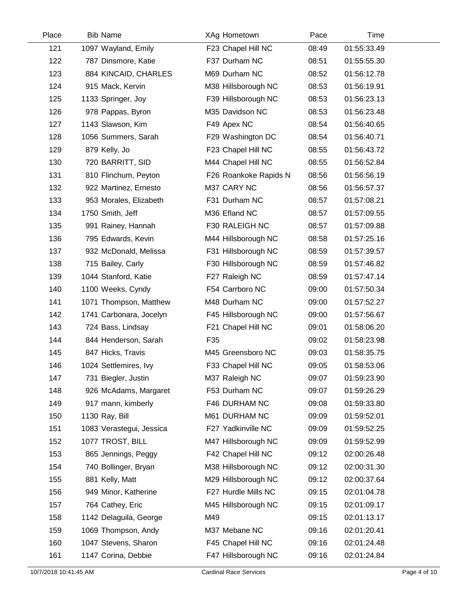| Place | <b>Bib Name</b>          | XAg Hometown          | Pace  | Time        |  |
|-------|--------------------------|-----------------------|-------|-------------|--|
| 121   | 1097 Wayland, Emily      | F23 Chapel Hill NC    | 08:49 | 01:55:33.49 |  |
| 122   | 787 Dinsmore, Katie      | F37 Durham NC         | 08:51 | 01:55:55.30 |  |
| 123   | 884 KINCAID, CHARLES     | M69 Durham NC         | 08:52 | 01:56:12.78 |  |
| 124   | 915 Mack, Kervin         | M38 Hillsborough NC   | 08:53 | 01:56:19.91 |  |
| 125   | 1133 Springer, Joy       | F39 Hillsborough NC   | 08:53 | 01:56:23.13 |  |
| 126   | 978 Pappas, Byron        | M35 Davidson NC       | 08:53 | 01:56:23.48 |  |
| 127   | 1143 Slawson, Kim        | F49 Apex NC           | 08:54 | 01:56:40.65 |  |
| 128   | 1056 Summers, Sarah      | F29 Washington DC     | 08:54 | 01:56:40.71 |  |
| 129   | 879 Kelly, Jo            | F23 Chapel Hill NC    | 08:55 | 01:56:43.72 |  |
| 130   | 720 BARRITT, SID         | M44 Chapel Hill NC    | 08:55 | 01:56:52.84 |  |
| 131   | 810 Flinchum, Peyton     | F26 Roankoke Rapids N | 08:56 | 01:56:56.19 |  |
| 132   | 922 Martinez, Ernesto    | M37 CARY NC           | 08:56 | 01:56:57.37 |  |
| 133   | 953 Morales, Elizabeth   | F31 Durham NC         | 08:57 | 01:57:08.21 |  |
| 134   | 1750 Smith, Jeff         | M36 Efland NC         | 08:57 | 01:57:09.55 |  |
| 135   | 991 Rainey, Hannah       | F30 RALEIGH NC        | 08:57 | 01:57:09.88 |  |
| 136   | 795 Edwards, Kevin       | M44 Hillsborough NC   | 08:58 | 01:57:25.16 |  |
| 137   | 932 McDonald, Melissa    | F31 Hillsborough NC   | 08:59 | 01:57:39.57 |  |
| 138   | 715 Bailey, Carly        | F30 Hillsborough NC   | 08:59 | 01:57:46.82 |  |
| 139   | 1044 Stanford, Katie     | F27 Raleigh NC        | 08:59 | 01:57:47.14 |  |
| 140   | 1100 Weeks, Cyndy        | F54 Carrboro NC       | 09:00 | 01:57:50.34 |  |
| 141   | 1071 Thompson, Matthew   | M48 Durham NC         | 09:00 | 01:57:52.27 |  |
| 142   | 1741 Carbonara, Jocelyn  | F45 Hillsborough NC   | 09:00 | 01:57:56.67 |  |
| 143   | 724 Bass, Lindsay        | F21 Chapel Hill NC    | 09:01 | 01:58:06.20 |  |
| 144   | 844 Henderson, Sarah     | F35                   | 09:02 | 01:58:23.98 |  |
| 145   | 847 Hicks, Travis        | M45 Greensboro NC     | 09:03 | 01:58:35.75 |  |
| 146   | 1024 Settlemires, Ivy    | F33 Chapel Hill NC    | 09:05 | 01:58:53.06 |  |
| 147   | 731 Biegler, Justin      | M37 Raleigh NC        | 09:07 | 01:59:23.90 |  |
| 148   | 926 McAdams, Margaret    | F53 Durham NC         | 09:07 | 01:59:26.29 |  |
| 149   | 917 mann, kimberly       | F46 DURHAM NC         | 09:08 | 01:59:33.80 |  |
| 150   | 1130 Ray, Bill           | M61 DURHAM NC         | 09:09 | 01:59:52.01 |  |
| 151   | 1083 Verastegui, Jessica | F27 Yadkinville NC    | 09:09 | 01:59:52.25 |  |
| 152   | 1077 TROST, BILL         | M47 Hillsborough NC   | 09:09 | 01:59:52.99 |  |
| 153   | 865 Jennings, Peggy      | F42 Chapel Hill NC    | 09:12 | 02:00:26.48 |  |
| 154   | 740 Bollinger, Bryan     | M38 Hillsborough NC   | 09:12 | 02:00:31.30 |  |
| 155   | 881 Kelly, Matt          | M29 Hillsborough NC   | 09:12 | 02:00:37.64 |  |
| 156   | 949 Minor, Katherine     | F27 Hurdle Mills NC   | 09:15 | 02:01:04.78 |  |
| 157   | 764 Cathey, Eric         | M45 Hillsborough NC   | 09:15 | 02:01:09.17 |  |
| 158   | 1142 Delaguila, George   | M49                   | 09:15 | 02:01:13.17 |  |
| 159   | 1069 Thompson, Andy      | M37 Mebane NC         | 09:16 | 02:01:20.41 |  |
| 160   | 1047 Stevens, Sharon     | F45 Chapel Hill NC    | 09:16 | 02:01:24.48 |  |
| 161   | 1147 Corina, Debbie      | F47 Hillsborough NC   | 09:16 | 02:01:24.84 |  |

 $\overline{a}$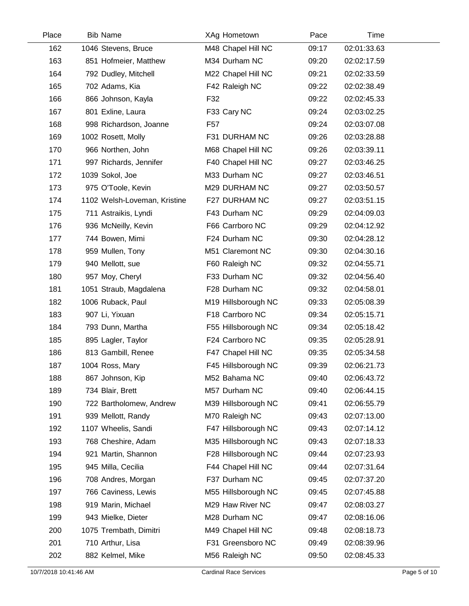| Place | <b>Bib Name</b>              | XAg Hometown        | Pace  | Time        |  |
|-------|------------------------------|---------------------|-------|-------------|--|
| 162   | 1046 Stevens, Bruce          | M48 Chapel Hill NC  | 09:17 | 02:01:33.63 |  |
| 163   | 851 Hofmeier, Matthew        | M34 Durham NC       | 09:20 | 02:02:17.59 |  |
| 164   | 792 Dudley, Mitchell         | M22 Chapel Hill NC  | 09:21 | 02:02:33.59 |  |
| 165   | 702 Adams, Kia               | F42 Raleigh NC      | 09:22 | 02:02:38.49 |  |
| 166   | 866 Johnson, Kayla           | F32                 | 09:22 | 02:02:45.33 |  |
| 167   | 801 Exline, Laura            | F33 Cary NC         | 09:24 | 02:03:02.25 |  |
| 168   | 998 Richardson, Joanne       | F <sub>57</sub>     | 09:24 | 02:03:07.08 |  |
| 169   | 1002 Rosett, Molly           | F31 DURHAM NC       | 09:26 | 02:03:28.88 |  |
| 170   | 966 Northen, John            | M68 Chapel Hill NC  | 09:26 | 02:03:39.11 |  |
| 171   | 997 Richards, Jennifer       | F40 Chapel Hill NC  | 09:27 | 02:03:46.25 |  |
| 172   | 1039 Sokol, Joe              | M33 Durham NC       | 09:27 | 02:03:46.51 |  |
| 173   | 975 O'Toole, Kevin           | M29 DURHAM NC       | 09:27 | 02:03:50.57 |  |
| 174   | 1102 Welsh-Loveman, Kristine | F27 DURHAM NC       | 09:27 | 02:03:51.15 |  |
| 175   | 711 Astraikis, Lyndi         | F43 Durham NC       | 09:29 | 02:04:09.03 |  |
| 176   | 936 McNeilly, Kevin          | F66 Carrboro NC     | 09:29 | 02:04:12.92 |  |
| 177   | 744 Bowen, Mimi              | F24 Durham NC       | 09:30 | 02:04:28.12 |  |
| 178   | 959 Mullen, Tony             | M51 Claremont NC    | 09:30 | 02:04:30.16 |  |
| 179   | 940 Mellott, sue             | F60 Raleigh NC      | 09:32 | 02:04:55.71 |  |
| 180   | 957 Moy, Cheryl              | F33 Durham NC       | 09:32 | 02:04:56.40 |  |
| 181   | 1051 Straub, Magdalena       | F28 Durham NC       | 09:32 | 02:04:58.01 |  |
| 182   | 1006 Ruback, Paul            | M19 Hillsborough NC | 09:33 | 02:05:08.39 |  |
| 183   | 907 Li, Yixuan               | F18 Carrboro NC     | 09:34 | 02:05:15.71 |  |
| 184   | 793 Dunn, Martha             | F55 Hillsborough NC | 09:34 | 02:05:18.42 |  |
| 185   | 895 Lagler, Taylor           | F24 Carrboro NC     | 09:35 | 02:05:28.91 |  |
| 186   | 813 Gambill, Renee           | F47 Chapel Hill NC  | 09:35 | 02:05:34.58 |  |
| 187   | 1004 Ross, Mary              | F45 Hillsborough NC | 09:39 | 02:06:21.73 |  |
| 188   | 867 Johnson, Kip             | M52 Bahama NC       | 09:40 | 02:06:43.72 |  |
| 189   | 734 Blair, Brett             | M57 Durham NC       | 09:40 | 02:06:44.15 |  |
| 190   | 722 Bartholomew, Andrew      | M39 Hillsborough NC | 09:41 | 02:06:55.79 |  |
| 191   | 939 Mellott, Randy           | M70 Raleigh NC      | 09:43 | 02:07:13.00 |  |
| 192   | 1107 Wheelis, Sandi          | F47 Hillsborough NC | 09:43 | 02:07:14.12 |  |
| 193   | 768 Cheshire, Adam           | M35 Hillsborough NC | 09:43 | 02:07:18.33 |  |
| 194   | 921 Martin, Shannon          | F28 Hillsborough NC | 09:44 | 02:07:23.93 |  |
| 195   | 945 Milla, Cecilia           | F44 Chapel Hill NC  | 09:44 | 02:07:31.64 |  |
| 196   | 708 Andres, Morgan           | F37 Durham NC       | 09:45 | 02:07:37.20 |  |
| 197   | 766 Caviness, Lewis          | M55 Hillsborough NC | 09:45 | 02:07:45.88 |  |
| 198   | 919 Marin, Michael           | M29 Haw River NC    | 09:47 | 02:08:03.27 |  |
| 199   | 943 Mielke, Dieter           | M28 Durham NC       | 09:47 | 02:08:16.06 |  |
| 200   | 1075 Trembath, Dimitri       | M49 Chapel Hill NC  | 09:48 | 02:08:18.73 |  |
| 201   | 710 Arthur, Lisa             | F31 Greensboro NC   | 09:49 | 02:08:39.96 |  |
| 202   | 882 Kelmel, Mike             | M56 Raleigh NC      | 09:50 | 02:08:45.33 |  |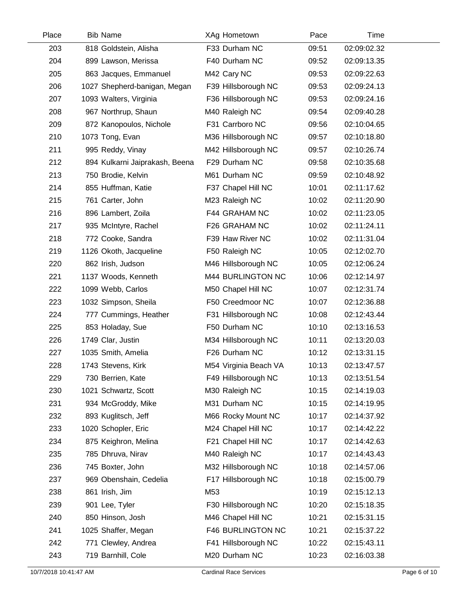| Place | <b>Bib Name</b>                | XAg Hometown          | Pace  | Time        |  |
|-------|--------------------------------|-----------------------|-------|-------------|--|
| 203   | 818 Goldstein, Alisha          | F33 Durham NC         | 09:51 | 02:09:02.32 |  |
| 204   | 899 Lawson, Merissa            | F40 Durham NC         | 09:52 | 02:09:13.35 |  |
| 205   | 863 Jacques, Emmanuel          | M42 Cary NC           | 09:53 | 02:09:22.63 |  |
| 206   | 1027 Shepherd-banigan, Megan   | F39 Hillsborough NC   | 09:53 | 02:09:24.13 |  |
| 207   | 1093 Walters, Virginia         | F36 Hillsborough NC   | 09:53 | 02:09:24.16 |  |
| 208   | 967 Northrup, Shaun            | M40 Raleigh NC        | 09:54 | 02:09:40.28 |  |
| 209   | 872 Kanopoulos, Nichole        | F31 Carrboro NC       | 09:56 | 02:10:04.65 |  |
| 210   | 1073 Tong, Evan                | M36 Hillsborough NC   | 09:57 | 02:10:18.80 |  |
| 211   | 995 Reddy, Vinay               | M42 Hillsborough NC   | 09:57 | 02:10:26.74 |  |
| 212   | 894 Kulkarni Jaiprakash, Beena | F29 Durham NC         | 09:58 | 02:10:35.68 |  |
| 213   | 750 Brodie, Kelvin             | M61 Durham NC         | 09:59 | 02:10:48.92 |  |
| 214   | 855 Huffman, Katie             | F37 Chapel Hill NC    | 10:01 | 02:11:17.62 |  |
| 215   | 761 Carter, John               | M23 Raleigh NC        | 10:02 | 02:11:20.90 |  |
| 216   | 896 Lambert, Zoila             | F44 GRAHAM NC         | 10:02 | 02:11:23.05 |  |
| 217   | 935 McIntyre, Rachel           | F26 GRAHAM NC         | 10:02 | 02:11:24.11 |  |
| 218   | 772 Cooke, Sandra              | F39 Haw River NC      | 10:02 | 02:11:31.04 |  |
| 219   | 1126 Okoth, Jacqueline         | F50 Raleigh NC        | 10:05 | 02:12:02.70 |  |
| 220   | 862 Irish, Judson              | M46 Hillsborough NC   | 10:05 | 02:12:06.24 |  |
| 221   | 1137 Woods, Kenneth            | M44 BURLINGTON NC     | 10:06 | 02:12:14.97 |  |
| 222   | 1099 Webb, Carlos              | M50 Chapel Hill NC    | 10:07 | 02:12:31.74 |  |
| 223   | 1032 Simpson, Sheila           | F50 Creedmoor NC      | 10:07 | 02:12:36.88 |  |
| 224   | 777 Cummings, Heather          | F31 Hillsborough NC   | 10:08 | 02:12:43.44 |  |
| 225   | 853 Holaday, Sue               | F50 Durham NC         | 10:10 | 02:13:16.53 |  |
| 226   | 1749 Clar, Justin              | M34 Hillsborough NC   | 10:11 | 02:13:20.03 |  |
| 227   | 1035 Smith, Amelia             | F26 Durham NC         | 10:12 | 02:13:31.15 |  |
| 228   | 1743 Stevens, Kirk             | M54 Virginia Beach VA | 10:13 | 02:13:47.57 |  |
| 229   | 730 Berrien, Kate              | F49 Hillsborough NC   | 10:13 | 02:13:51.54 |  |
| 230   | 1021 Schwartz, Scott           | M30 Raleigh NC        | 10:15 | 02:14:19.03 |  |
| 231   | 934 McGroddy, Mike             | M31 Durham NC         | 10:15 | 02:14:19.95 |  |
| 232   | 893 Kuglitsch, Jeff            | M66 Rocky Mount NC    | 10:17 | 02:14:37.92 |  |
| 233   | 1020 Schopler, Eric            | M24 Chapel Hill NC    | 10:17 | 02:14:42.22 |  |
| 234   | 875 Keighron, Melina           | F21 Chapel Hill NC    | 10:17 | 02:14:42.63 |  |
| 235   | 785 Dhruva, Nirav              | M40 Raleigh NC        | 10:17 | 02:14:43.43 |  |
| 236   | 745 Boxter, John               | M32 Hillsborough NC   | 10:18 | 02:14:57.06 |  |
| 237   | 969 Obenshain, Cedelia         | F17 Hillsborough NC   | 10:18 | 02:15:00.79 |  |
| 238   | 861 Irish, Jim                 | M53                   | 10:19 | 02:15:12.13 |  |
| 239   | 901 Lee, Tyler                 | F30 Hillsborough NC   | 10:20 | 02:15:18.35 |  |
| 240   | 850 Hinson, Josh               | M46 Chapel Hill NC    | 10:21 | 02:15:31.15 |  |
| 241   | 1025 Shaffer, Megan            | F46 BURLINGTON NC     | 10:21 | 02:15:37.22 |  |
| 242   | 771 Clewley, Andrea            | F41 Hillsborough NC   | 10:22 | 02:15:43.11 |  |
| 243   | 719 Barnhill, Cole             | M20 Durham NC         | 10:23 | 02:16:03.38 |  |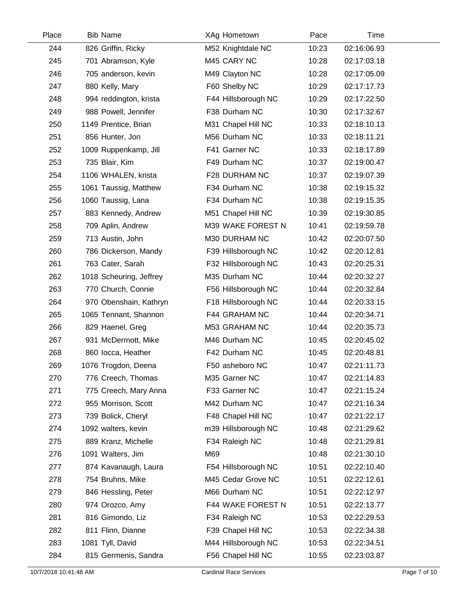| Place | <b>Bib Name</b>         | XAg Hometown        | Pace  | Time        |  |
|-------|-------------------------|---------------------|-------|-------------|--|
| 244   | 826 Griffin, Ricky      | M52 Knightdale NC   | 10:23 | 02:16:06.93 |  |
| 245   | 701 Abramson, Kyle      | M45 CARY NC         | 10:28 | 02:17:03.18 |  |
| 246   | 705 anderson, kevin     | M49 Clayton NC      | 10:28 | 02:17:05.09 |  |
| 247   | 880 Kelly, Mary         | F60 Shelby NC       | 10:29 | 02:17:17.73 |  |
| 248   | 994 reddington, krista  | F44 Hillsborough NC | 10:29 | 02:17:22.50 |  |
| 249   | 988 Powell, Jennifer    | F38 Durham NC       | 10:30 | 02:17:32.67 |  |
| 250   | 1149 Prentice, Brian    | M31 Chapel Hill NC  | 10:33 | 02:18:10.13 |  |
| 251   | 856 Hunter, Jon         | M56 Durham NC       | 10:33 | 02:18:11.21 |  |
| 252   | 1009 Ruppenkamp, Jill   | F41 Garner NC       | 10:33 | 02:18:17.89 |  |
| 253   | 735 Blair, Kim          | F49 Durham NC       | 10:37 | 02:19:00.47 |  |
| 254   | 1106 WHALEN, krista     | F28 DURHAM NC       | 10:37 | 02:19:07.39 |  |
| 255   | 1061 Taussig, Matthew   | F34 Durham NC       | 10:38 | 02:19:15.32 |  |
| 256   | 1060 Taussig, Lana      | F34 Durham NC       | 10:38 | 02:19:15.35 |  |
| 257   | 883 Kennedy, Andrew     | M51 Chapel Hill NC  | 10:39 | 02:19:30.85 |  |
| 258   | 709 Aplin, Andrew       | M39 WAKE FOREST N   | 10:41 | 02:19:59.78 |  |
| 259   | 713 Austin, John        | M30 DURHAM NC       | 10:42 | 02:20:07.50 |  |
| 260   | 786 Dickerson, Mandy    | F39 Hillsborough NC | 10:42 | 02:20:12.81 |  |
| 261   | 763 Cater, Sarah        | F32 Hillsborough NC | 10:43 | 02:20:25.31 |  |
| 262   | 1018 Scheuring, Jeffrey | M35 Durham NC       | 10:44 | 02:20:32.27 |  |
| 263   | 770 Church, Connie      | F56 Hillsborough NC | 10:44 | 02:20:32.84 |  |
| 264   | 970 Obenshain, Kathryn  | F18 Hillsborough NC | 10:44 | 02:20:33.15 |  |
| 265   | 1065 Tennant, Shannon   | F44 GRAHAM NC       | 10:44 | 02:20:34.71 |  |
| 266   | 829 Haenel, Greg        | M53 GRAHAM NC       | 10:44 | 02:20:35.73 |  |
| 267   | 931 McDermott, Mike     | M46 Durham NC       | 10:45 | 02:20:45.02 |  |
| 268   | 860 locca, Heather      | F42 Durham NC       | 10:45 | 02:20:48.81 |  |
| 269   | 1076 Trogdon, Deena     | F50 asheboro NC     | 10:47 | 02:21:11.73 |  |
| 270   | 776 Creech, Thomas      | M35 Garner NC       | 10:47 | 02:21:14.83 |  |
| 271   | 775 Creech, Mary Anna   | F33 Garner NC       | 10:47 | 02:21:15.24 |  |
| 272   | 955 Morrison, Scott     | M42 Durham NC       | 10:47 | 02:21:16.34 |  |
| 273   | 739 Bolick, Cheryl      | F48 Chapel Hill NC  | 10:47 | 02:21:22.17 |  |
| 274   | 1092 walters, kevin     | m39 Hillsborough NC | 10:48 | 02:21:29.62 |  |
| 275   | 889 Kranz, Michelle     | F34 Raleigh NC      | 10:48 | 02:21:29.81 |  |
| 276   | 1091 Walters, Jim       | M69                 | 10:48 | 02:21:30.10 |  |
| 277   | 874 Kavanaugh, Laura    | F54 Hillsborough NC | 10:51 | 02:22:10.40 |  |
| 278   | 754 Bruhns, Mike        | M45 Cedar Grove NC  | 10:51 | 02:22:12.61 |  |
| 279   | 846 Hessling, Peter     | M66 Durham NC       | 10:51 | 02:22:12.97 |  |
| 280   | 974 Orozco, Amy         | F44 WAKE FOREST N   | 10:51 | 02:22:13.77 |  |
| 281   | 816 Gimondo, Liz        | F34 Raleigh NC      | 10:53 | 02:22:29.53 |  |
| 282   | 811 Flinn, Dianne       | F39 Chapel Hill NC  | 10:53 | 02:22:34.38 |  |
| 283   | 1081 Tyll, David        | M44 Hillsborough NC | 10:53 | 02:22:34.51 |  |
| 284   | 815 Germenis, Sandra    | F56 Chapel Hill NC  | 10:55 | 02:23:03.87 |  |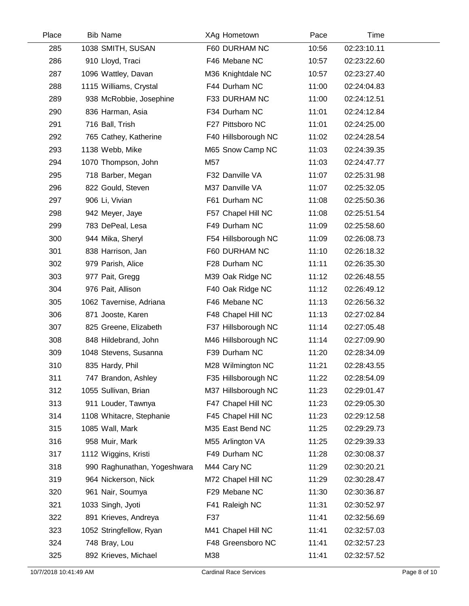| Place | <b>Bib Name</b>             | XAg Hometown        | Pace  | Time        |  |
|-------|-----------------------------|---------------------|-------|-------------|--|
| 285   | 1038 SMITH, SUSAN           | F60 DURHAM NC       | 10:56 | 02:23:10.11 |  |
| 286   | 910 Lloyd, Traci            | F46 Mebane NC       | 10:57 | 02:23:22.60 |  |
| 287   | 1096 Wattley, Davan         | M36 Knightdale NC   | 10:57 | 02:23:27.40 |  |
| 288   | 1115 Williams, Crystal      | F44 Durham NC       | 11:00 | 02:24:04.83 |  |
| 289   | 938 McRobbie, Josephine     | F33 DURHAM NC       | 11:00 | 02:24:12.51 |  |
| 290   | 836 Harman, Asia            | F34 Durham NC       | 11:01 | 02:24:12.84 |  |
| 291   | 716 Ball, Trish             | F27 Pittsboro NC    | 11:01 | 02:24:25.00 |  |
| 292   | 765 Cathey, Katherine       | F40 Hillsborough NC | 11:02 | 02:24:28.54 |  |
| 293   | 1138 Webb, Mike             | M65 Snow Camp NC    | 11:03 | 02:24:39.35 |  |
| 294   | 1070 Thompson, John         | M57                 | 11:03 | 02:24:47.77 |  |
| 295   | 718 Barber, Megan           | F32 Danville VA     | 11:07 | 02:25:31.98 |  |
| 296   | 822 Gould, Steven           | M37 Danville VA     | 11:07 | 02:25:32.05 |  |
| 297   | 906 Li, Vivian              | F61 Durham NC       | 11:08 | 02:25:50.36 |  |
| 298   | 942 Meyer, Jaye             | F57 Chapel Hill NC  | 11:08 | 02:25:51.54 |  |
| 299   | 783 DePeal, Lesa            | F49 Durham NC       | 11:09 | 02:25:58.60 |  |
| 300   | 944 Mika, Sheryl            | F54 Hillsborough NC | 11:09 | 02:26:08.73 |  |
| 301   | 838 Harrison, Jan           | F60 DURHAM NC       | 11:10 | 02:26:18.32 |  |
| 302   | 979 Parish, Alice           | F28 Durham NC       | 11:11 | 02:26:35.30 |  |
| 303   | 977 Pait, Gregg             | M39 Oak Ridge NC    | 11:12 | 02:26:48.55 |  |
| 304   | 976 Pait, Allison           | F40 Oak Ridge NC    | 11:12 | 02:26:49.12 |  |
| 305   | 1062 Tavernise, Adriana     | F46 Mebane NC       | 11:13 | 02:26:56.32 |  |
| 306   | 871 Jooste, Karen           | F48 Chapel Hill NC  | 11:13 | 02:27:02.84 |  |
| 307   | 825 Greene, Elizabeth       | F37 Hillsborough NC | 11:14 | 02:27:05.48 |  |
| 308   | 848 Hildebrand, John        | M46 Hillsborough NC | 11:14 | 02:27:09.90 |  |
| 309   | 1048 Stevens, Susanna       | F39 Durham NC       | 11:20 | 02:28:34.09 |  |
| 310   | 835 Hardy, Phil             | M28 Wilmington NC   | 11:21 | 02:28:43.55 |  |
| 311   | 747 Brandon, Ashley         | F35 Hillsborough NC | 11:22 | 02:28:54.09 |  |
| 312   | 1055 Sullivan, Brian        | M37 Hillsborough NC | 11:23 | 02:29:01.47 |  |
| 313   | 911 Louder, Tawnya          | F47 Chapel Hill NC  | 11:23 | 02:29:05.30 |  |
| 314   | 1108 Whitacre, Stephanie    | F45 Chapel Hill NC  | 11:23 | 02:29:12.58 |  |
| 315   | 1085 Wall, Mark             | M35 East Bend NC    | 11:25 | 02:29:29.73 |  |
| 316   | 958 Muir, Mark              | M55 Arlington VA    | 11:25 | 02:29:39.33 |  |
| 317   | 1112 Wiggins, Kristi        | F49 Durham NC       | 11:28 | 02:30:08.37 |  |
| 318   | 990 Raghunathan, Yogeshwara | M44 Cary NC         | 11:29 | 02:30:20.21 |  |
| 319   | 964 Nickerson, Nick         | M72 Chapel Hill NC  | 11:29 | 02:30:28.47 |  |
| 320   | 961 Nair, Soumya            | F29 Mebane NC       | 11:30 | 02:30:36.87 |  |
| 321   | 1033 Singh, Jyoti           | F41 Raleigh NC      | 11:31 | 02:30:52.97 |  |
| 322   | 891 Krieves, Andreya        | F37                 | 11:41 | 02:32:56.69 |  |
| 323   | 1052 Stringfellow, Ryan     | M41 Chapel Hill NC  | 11:41 | 02:32:57.03 |  |
| 324   | 748 Bray, Lou               | F48 Greensboro NC   | 11:41 | 02:32:57.23 |  |
| 325   | 892 Krieves, Michael        | M38                 | 11:41 | 02:32:57.52 |  |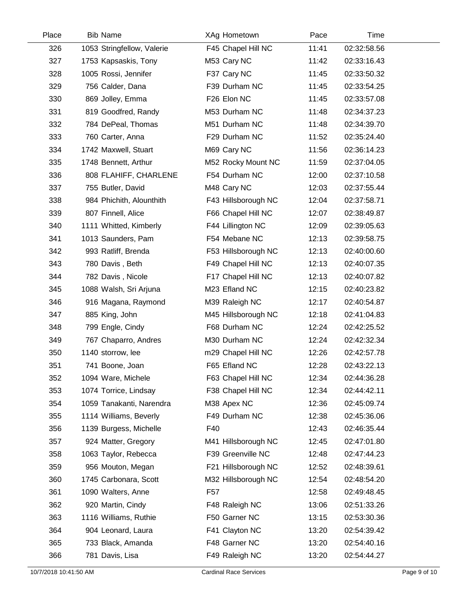| Place | <b>Bib Name</b>            |                 | XAg Hometown        | Pace  | Time        |  |
|-------|----------------------------|-----------------|---------------------|-------|-------------|--|
| 326   | 1053 Stringfellow, Valerie |                 | F45 Chapel Hill NC  | 11:41 | 02:32:58.56 |  |
| 327   | 1753 Kapsaskis, Tony       |                 | M53 Cary NC         | 11:42 | 02:33:16.43 |  |
| 328   | 1005 Rossi, Jennifer       |                 | F37 Cary NC         | 11:45 | 02:33:50.32 |  |
| 329   | 756 Calder, Dana           |                 | F39 Durham NC       | 11:45 | 02:33:54.25 |  |
| 330   | 869 Jolley, Emma           |                 | F26 Elon NC         | 11:45 | 02:33:57.08 |  |
| 331   | 819 Goodfred, Randy        |                 | M53 Durham NC       | 11:48 | 02:34:37.23 |  |
| 332   | 784 DePeal, Thomas         |                 | M51 Durham NC       | 11:48 | 02:34:39.70 |  |
| 333   | 760 Carter, Anna           |                 | F29 Durham NC       | 11:52 | 02:35:24.40 |  |
| 334   | 1742 Maxwell, Stuart       |                 | M69 Cary NC         | 11:56 | 02:36:14.23 |  |
| 335   | 1748 Bennett, Arthur       |                 | M52 Rocky Mount NC  | 11:59 | 02:37:04.05 |  |
| 336   | 808 FLAHIFF, CHARLENE      |                 | F54 Durham NC       | 12:00 | 02:37:10.58 |  |
| 337   | 755 Butler, David          |                 | M48 Cary NC         | 12:03 | 02:37:55.44 |  |
| 338   | 984 Phichith, Alounthith   |                 | F43 Hillsborough NC | 12:04 | 02:37:58.71 |  |
| 339   | 807 Finnell, Alice         |                 | F66 Chapel Hill NC  | 12:07 | 02:38:49.87 |  |
| 340   | 1111 Whitted, Kimberly     |                 | F44 Lillington NC   | 12:09 | 02:39:05.63 |  |
| 341   | 1013 Saunders, Pam         |                 | F54 Mebane NC       | 12:13 | 02:39:58.75 |  |
| 342   | 993 Ratliff, Brenda        |                 | F53 Hillsborough NC | 12:13 | 02:40:00.60 |  |
| 343   | 780 Davis, Beth            |                 | F49 Chapel Hill NC  | 12:13 | 02:40:07.35 |  |
| 344   | 782 Davis, Nicole          |                 | F17 Chapel Hill NC  | 12:13 | 02:40:07.82 |  |
| 345   | 1088 Walsh, Sri Arjuna     |                 | M23 Efland NC       | 12:15 | 02:40:23.82 |  |
| 346   | 916 Magana, Raymond        |                 | M39 Raleigh NC      | 12:17 | 02:40:54.87 |  |
| 347   | 885 King, John             |                 | M45 Hillsborough NC | 12:18 | 02:41:04.83 |  |
| 348   | 799 Engle, Cindy           |                 | F68 Durham NC       | 12:24 | 02:42:25.52 |  |
| 349   | 767 Chaparro, Andres       |                 | M30 Durham NC       | 12:24 | 02:42:32.34 |  |
| 350   | 1140 storrow, lee          |                 | m29 Chapel Hill NC  | 12:26 | 02:42:57.78 |  |
| 351   | 741 Boone, Joan            |                 | F65 Efland NC       | 12:28 | 02:43:22.13 |  |
| 352   | 1094 Ware, Michele         |                 | F63 Chapel Hill NC  | 12:34 | 02:44:36.28 |  |
| 353   | 1074 Torrice, Lindsay      |                 | F38 Chapel Hill NC  | 12:34 | 02:44:42.11 |  |
| 354   | 1059 Tanakanti, Narendra   |                 | M38 Apex NC         | 12:36 | 02:45:09.74 |  |
| 355   | 1114 Williams, Beverly     |                 | F49 Durham NC       | 12:38 | 02:45:36.06 |  |
| 356   | 1139 Burgess, Michelle     | F40             |                     | 12:43 | 02:46:35.44 |  |
| 357   | 924 Matter, Gregory        |                 | M41 Hillsborough NC | 12:45 | 02:47:01.80 |  |
| 358   | 1063 Taylor, Rebecca       |                 | F39 Greenville NC   | 12:48 | 02:47:44.23 |  |
| 359   | 956 Mouton, Megan          |                 | F21 Hillsborough NC | 12:52 | 02:48:39.61 |  |
| 360   | 1745 Carbonara, Scott      |                 | M32 Hillsborough NC | 12:54 | 02:48:54.20 |  |
| 361   | 1090 Walters, Anne         | F <sub>57</sub> |                     | 12:58 | 02:49:48.45 |  |
| 362   | 920 Martin, Cindy          |                 | F48 Raleigh NC      | 13:06 | 02:51:33.26 |  |
| 363   | 1116 Williams, Ruthie      |                 | F50 Garner NC       | 13:15 | 02:53:30.36 |  |
| 364   | 904 Leonard, Laura         |                 | F41 Clayton NC      | 13:20 | 02:54:39.42 |  |
| 365   | 733 Black, Amanda          |                 | F48 Garner NC       | 13:20 | 02:54:40.16 |  |
| 366   | 781 Davis, Lisa            |                 | F49 Raleigh NC      | 13:20 | 02:54:44.27 |  |